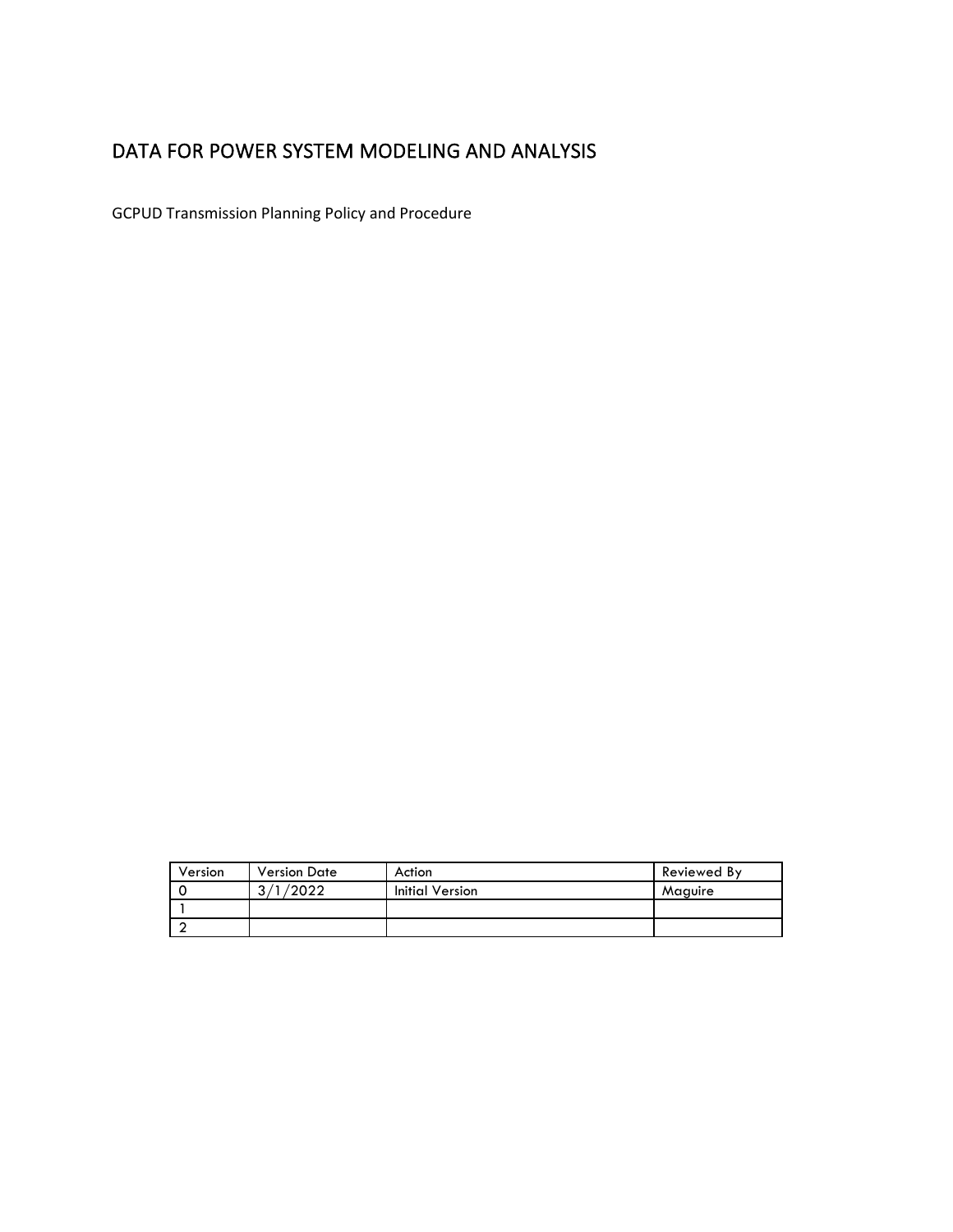# <span id="page-0-0"></span>DATA FOR POWER SYSTEM MODELING AND ANALYSIS

GCPUD Transmission Planning Policy and Procedure

| Version | <b>Version Date</b> | Action                 | Reviewed By |
|---------|---------------------|------------------------|-------------|
|         | /2022<br>2/1        | <b>Initial Version</b> | Maguire     |
|         |                     |                        |             |
|         |                     |                        |             |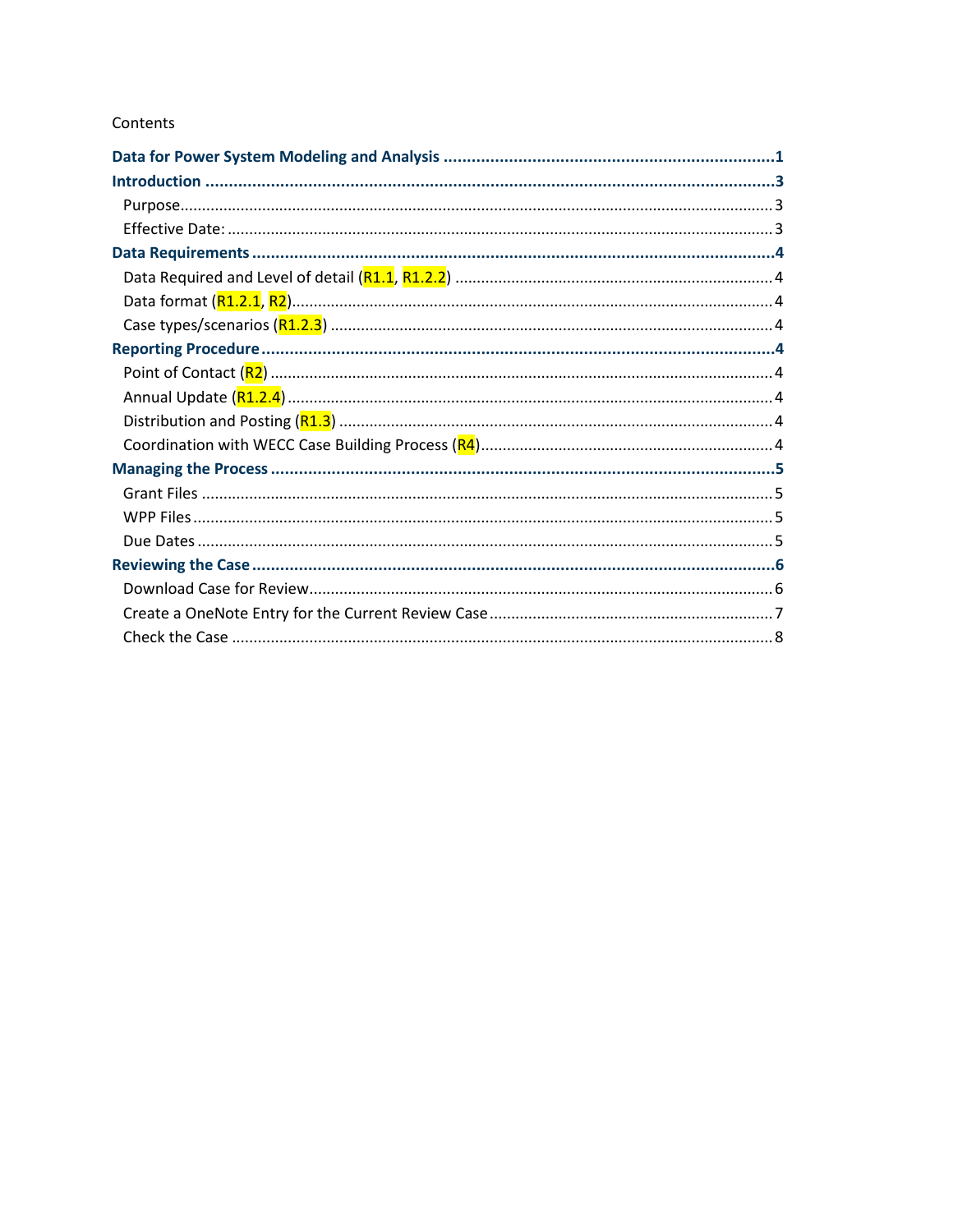#### Contents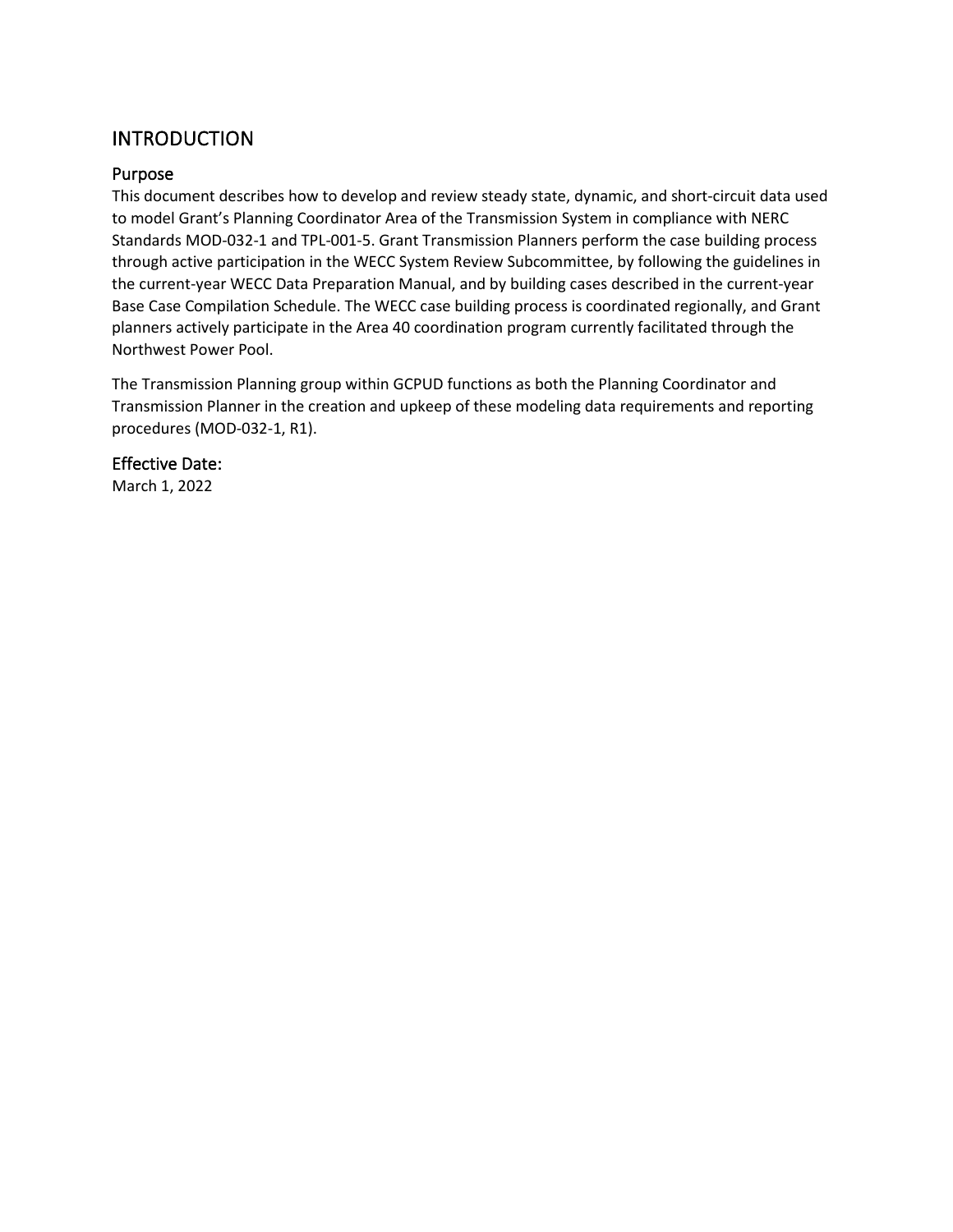# <span id="page-2-0"></span>**INTRODUCTION**

#### <span id="page-2-1"></span>Purpose

This document describes how to develop and review steady state, dynamic, and short-circuit data used to model Grant's Planning Coordinator Area of the Transmission System in compliance with NERC Standards MOD-032-1 and TPL-001-5. Grant Transmission Planners perform the case building process through active participation in the WECC System Review Subcommittee, by following the guidelines in the current-year WECC Data Preparation Manual, and by building cases described in the current-year Base Case Compilation Schedule. The WECC case building process is coordinated regionally, and Grant planners actively participate in the Area 40 coordination program currently facilitated through the Northwest Power Pool.

The Transmission Planning group within GCPUD functions as both the Planning Coordinator and Transmission Planner in the creation and upkeep of these modeling data requirements and reporting procedures (MOD-032-1, R1).

#### <span id="page-2-2"></span>Effective Date:

March 1, 2022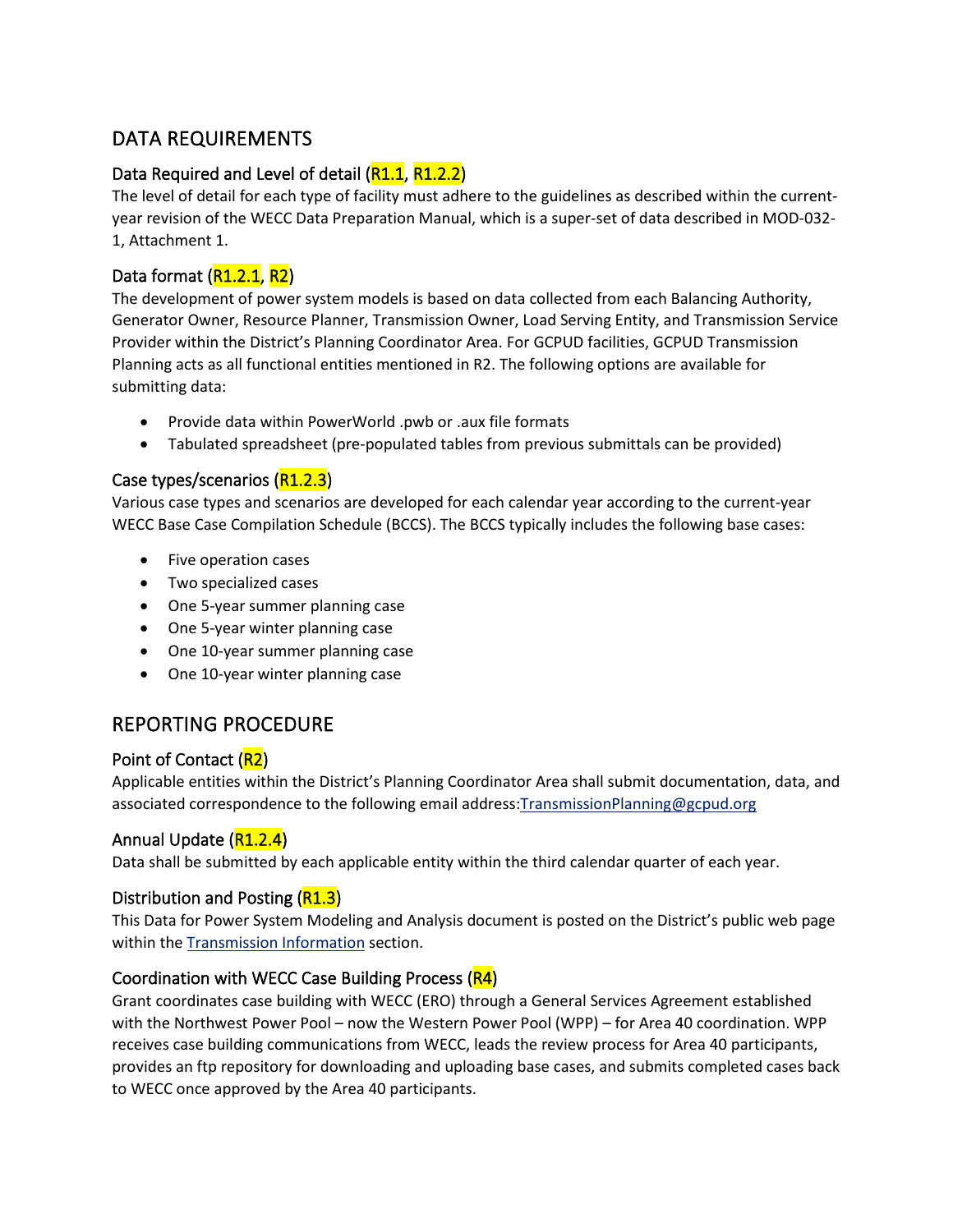# <span id="page-3-0"></span>DATA REQUIREMENTS

### <span id="page-3-1"></span>Data Required and Level of detail (R1.1, R1.2.2)

The level of detail for each type of facility must adhere to the guidelines as described within the currentyear revision of the WECC Data Preparation Manual, which is a super-set of data described in MOD-032- 1, Attachment 1.

### <span id="page-3-2"></span>Data format (R1.2.1, R2)

The development of power system models is based on data collected from each Balancing Authority, Generator Owner, Resource Planner, Transmission Owner, Load Serving Entity, and Transmission Service Provider within the District's Planning Coordinator Area. For GCPUD facilities, GCPUD Transmission Planning acts as all functional entities mentioned in R2. The following options are available for submitting data:

- Provide data within PowerWorld .pwb or .aux file formats
- Tabulated spreadsheet (pre-populated tables from previous submittals can be provided)

#### <span id="page-3-3"></span>Case types/scenarios (R1.2.3)

Various case types and scenarios are developed for each calendar year according to the current-year WECC Base Case Compilation Schedule (BCCS). The BCCS typically includes the following base cases:

- Five operation cases
- Two specialized cases
- One 5-year summer planning case
- One 5-year winter planning case
- One 10-year summer planning case
- One 10-year winter planning case

### <span id="page-3-4"></span>REPORTING PROCEDURE

#### <span id="page-3-5"></span>Point of Contact (R2)

Applicable entities within the District's Planning Coordinator Area shall submit documentation, data, and associated correspondence to the following email address: TransmissionPlanning@gcpud.org

#### <span id="page-3-6"></span>Annual Update (R1.2.4)

Data shall be submitted by each applicable entity within the third calendar quarter of each year.

#### <span id="page-3-7"></span>Distribution and Posting (R1.3)

This Data for Power System Modeling and Analysis document is posted on the District's public web page within the [Transmission Information](https://www.grantpud.org/transmission-information) section.

#### <span id="page-3-8"></span>Coordination with WECC Case Building Process (R4)

Grant coordinates case building with WECC (ERO) through a General Services Agreement established with the Northwest Power Pool – now the Western Power Pool (WPP) – for Area 40 coordination. WPP receives case building communications from WECC, leads the review process for Area 40 participants, provides an ftp repository for downloading and uploading base cases, and submits completed cases back to WECC once approved by the Area 40 participants.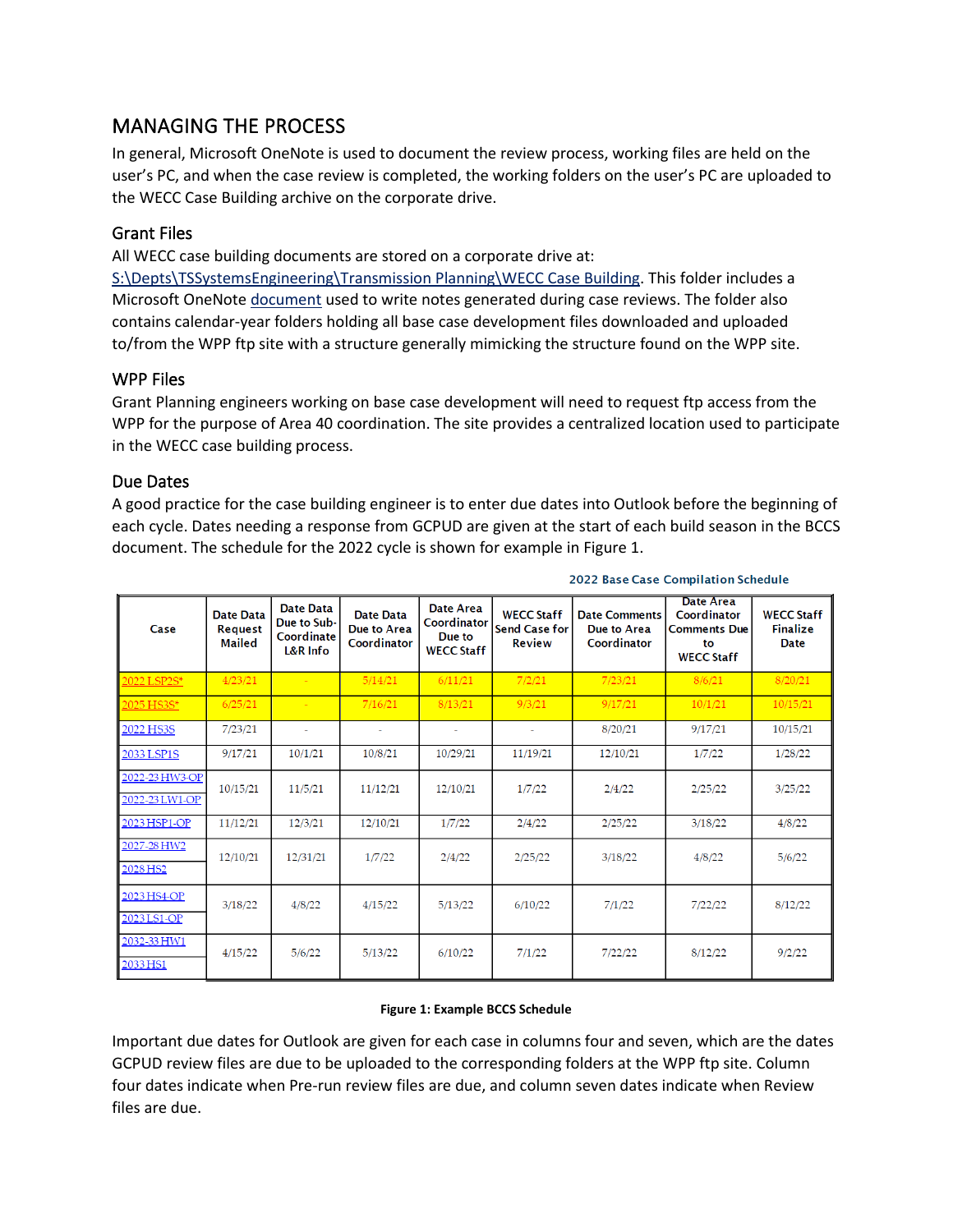### <span id="page-4-0"></span>MANAGING THE PROCESS

In general, Microsoft OneNote is used to document the review process, working files are held on the user's PC, and when the case review is completed, the working folders on the user's PC are uploaded to the WECC Case Building archive on the corporate drive.

#### <span id="page-4-1"></span>Grant Files

All WECC case building documents are stored on a corporate drive at:

[S:\Depts\TSSystemsEngineering\Transmission Planning\WECC Case Building.](file://ephw16dfsfs01.gcpud.org/fs/Depts/TDSystemsEngineering/Transmission%20Planning/WECC%20Case%20Building) This folder includes a Microsoft OneNote [document](onenote://S:/Depts/TDSystemsEngineering/Transmission%20Planning/WECC%20Case%20Building) used to write notes generated during case reviews. The folder also contains calendar-year folders holding all base case development files downloaded and uploaded to/from the WPP ftp site with a structure generally mimicking the structure found on the WPP site.

#### <span id="page-4-2"></span>WPP Files

Grant Planning engineers working on base case development will need to request ftp access from the WPP for the purpose of Area 40 coordination. The site provides a centralized location used to participate in the WECC case building process.

#### <span id="page-4-3"></span>Due Dates

A good practice for the case building engineer is to enter due dates into Outlook before the beginning of each cycle. Dates needing a response from GCPUD are given at the start of each build season in the BCCS document. The schedule for the 2022 cycle is shown for example in [Figure 1.](#page-4-4)

| Case                             | Date Data<br><b>Request</b><br><b>Mailed</b> | Date Data<br>Due to Sub-<br>Coordinate<br>L&R Info | Date Data<br>Due to Area<br>Coordinator | Date Area<br>Coordinator<br>Due to<br><b>WECC Staff</b> | <b>WECC Staff</b><br><b>Send Case for</b><br><b>Review</b> | <b>Date Comments</b><br>Due to Area<br>Coordinator | Date Area<br>Coordinator<br><b>Comments Due</b><br>to<br><b>WECC Staff</b> | <b>WECC Staff</b><br><b>Finalize</b><br><b>Date</b> |
|----------------------------------|----------------------------------------------|----------------------------------------------------|-----------------------------------------|---------------------------------------------------------|------------------------------------------------------------|----------------------------------------------------|----------------------------------------------------------------------------|-----------------------------------------------------|
| 2022 LSP2S*                      | 4/23/21                                      |                                                    | 5/14/21                                 | 6/11/21                                                 | 7/2/21                                                     | 7/23/21                                            | 8/6/21                                                                     | 8/20/21                                             |
| 2025 HS3S*                       | 6/25/21                                      |                                                    | 7/16/21                                 | 8/13/21                                                 | 9/3/21                                                     | 9/17/21                                            | 10/1/21                                                                    | 10/15/21                                            |
| 2022 HS3S                        | 7/23/21                                      |                                                    | $\sim$                                  | $\sim$                                                  | $\sim$                                                     | 8/20/21                                            | 9/17/21                                                                    | 10/15/21                                            |
| 2033 LSP1S                       | 9/17/21                                      | 10/1/21                                            | 10/8/21                                 | 10/29/21                                                | 11/19/21                                                   | 12/10/21                                           | 1/7/22                                                                     | 1/28/22                                             |
| 2022-23 HW3-OP<br>2022-23 LW1-OP | 10/15/21                                     | 11/5/21                                            | 11/12/21                                | 12/10/21                                                | 1/7/22                                                     | 2/4/22                                             | 2/25/22                                                                    | 3/25/22                                             |
| 2023 HSP1-OP                     | 11/12/21                                     | 12/3/21                                            | 12/10/21                                | 1/7/22                                                  | 2/4/22                                                     | 2/25/22                                            | 3/18/22                                                                    | 4/8/22                                              |
| 2027-28 HW2<br>2028 HS2          | 12/10/21                                     | 12/31/21                                           | 1/7/22                                  | 2/4/22                                                  | 2/25/22                                                    | 3/18/22                                            | 4/8/22                                                                     | 5/6/22                                              |
| 2023 HS4-OP<br>2023 LS1-OP       | 3/18/22                                      | 4/8/22                                             | 4/15/22                                 | 5/13/22                                                 | 6/10/22                                                    | 7/1/22                                             | 7/22/22                                                                    | 8/12/22                                             |
| 2032-33 HW1<br>2033 HS1          | 4/15/22                                      | 5/6/22                                             | 5/13/22                                 | 6/10/22                                                 | 7/1/22                                                     | 7/22/22                                            | 8/12/22                                                                    | 9/2/22                                              |

#### 2022 Base Case Compilation Schedule

#### **Figure 1: Example BCCS Schedule**

<span id="page-4-4"></span>Important due dates for Outlook are given for each case in columns four and seven, which are the dates GCPUD review files are due to be uploaded to the corresponding folders at the WPP ftp site. Column four dates indicate when Pre-run review files are due, and column seven dates indicate when Review files are due.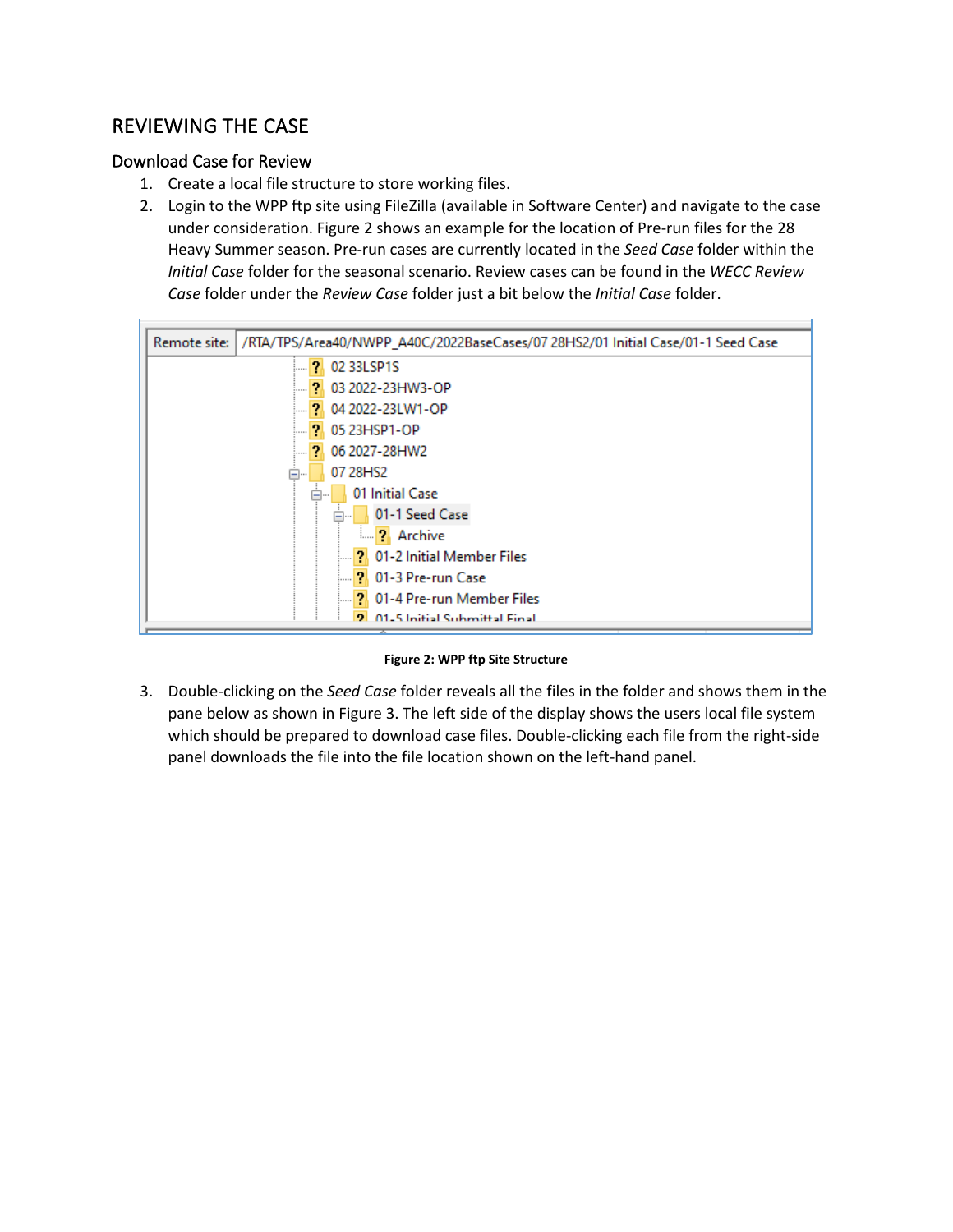### <span id="page-5-0"></span>REVIEWING THE CASE

#### <span id="page-5-1"></span>Download Case for Review

- 1. Create a local file structure to store working files.
- 2. Login to the WPP ftp site using FileZilla (available in Software Center) and navigate to the case under consideration[. Figure 2](#page-5-2) shows an example for the location of Pre-run files for the 28 Heavy Summer season. Pre-run cases are currently located in the *Seed Case* folder within the *Initial Case* folder for the seasonal scenario. Review cases can be found in the *WECC Review Case* folder under the *Review Case* folder just a bit below the *Initial Case* folder.



**Figure 2: WPP ftp Site Structure**

<span id="page-5-2"></span>3. Double-clicking on the *Seed Case* folder reveals all the files in the folder and shows them in the pane below as shown in [Figure 3.](#page-6-1) The left side of the display shows the users local file system which should be prepared to download case files. Double-clicking each file from the right-side panel downloads the file into the file location shown on the left-hand panel.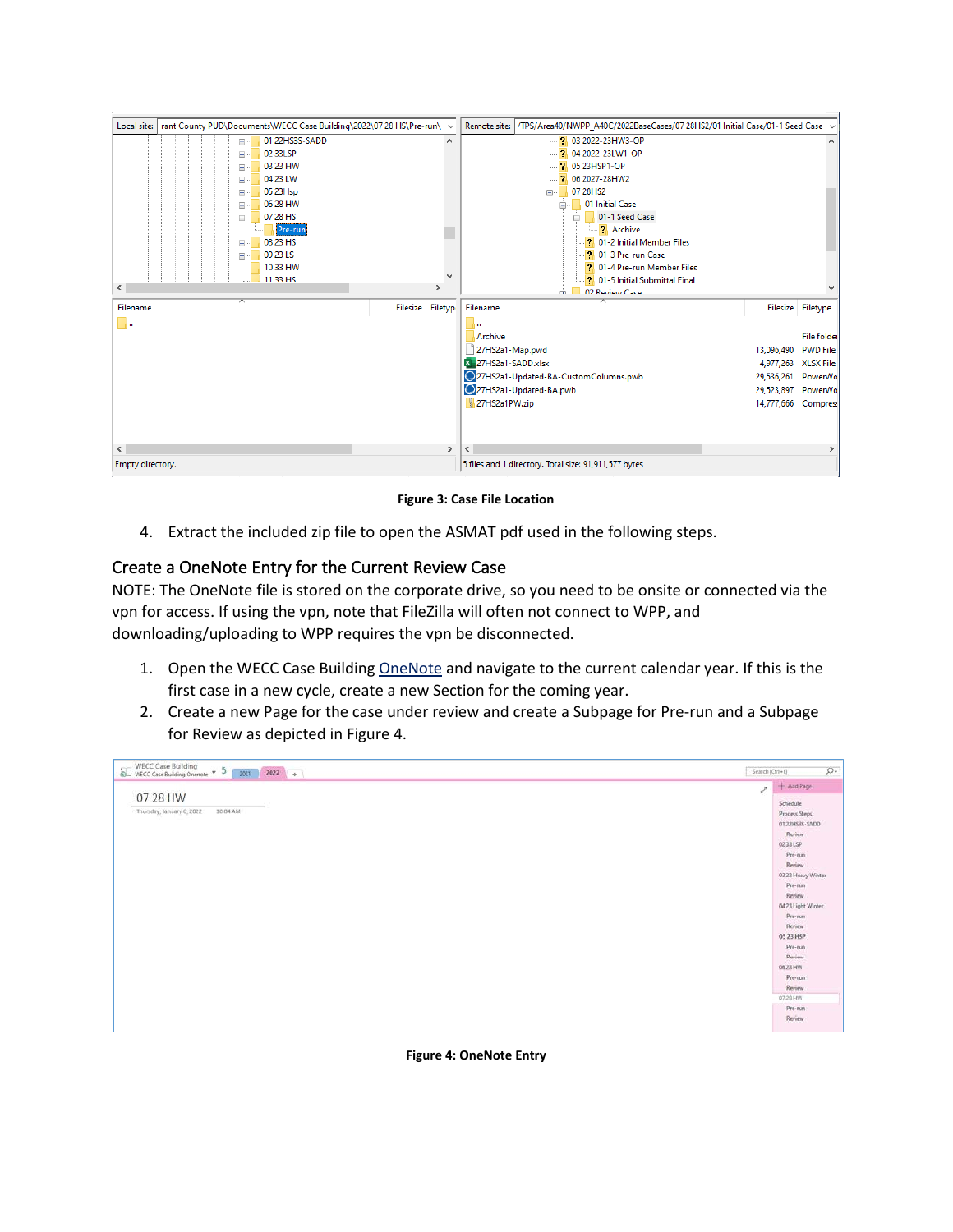

**Figure 3: Case File Location**

<span id="page-6-1"></span>4. Extract the included zip file to open the ASMAT pdf used in the following steps.

#### <span id="page-6-0"></span>Create a OneNote Entry for the Current Review Case

NOTE: The OneNote file is stored on the corporate drive, so you need to be onsite or connected via the vpn for access. If using the vpn, note that FileZilla will often not connect to WPP, and downloading/uploading to WPP requires the vpn be disconnected.

- 1. Open the WECC Case Buildin[g OneNote](onenote://S:/Depts/TDSystemsEngineering/Transmission%20Planning/WECC%20Case%20Building) and navigate to the current calendar year. If this is the first case in a new cycle, create a new Section for the coming year.
- 2. Create a new Page for the case under review and create a Subpage for Pre-run and a Subpage for Review as depicted in [Figure 4.](#page-6-2)



<span id="page-6-2"></span>**Figure 4: OneNote Entry**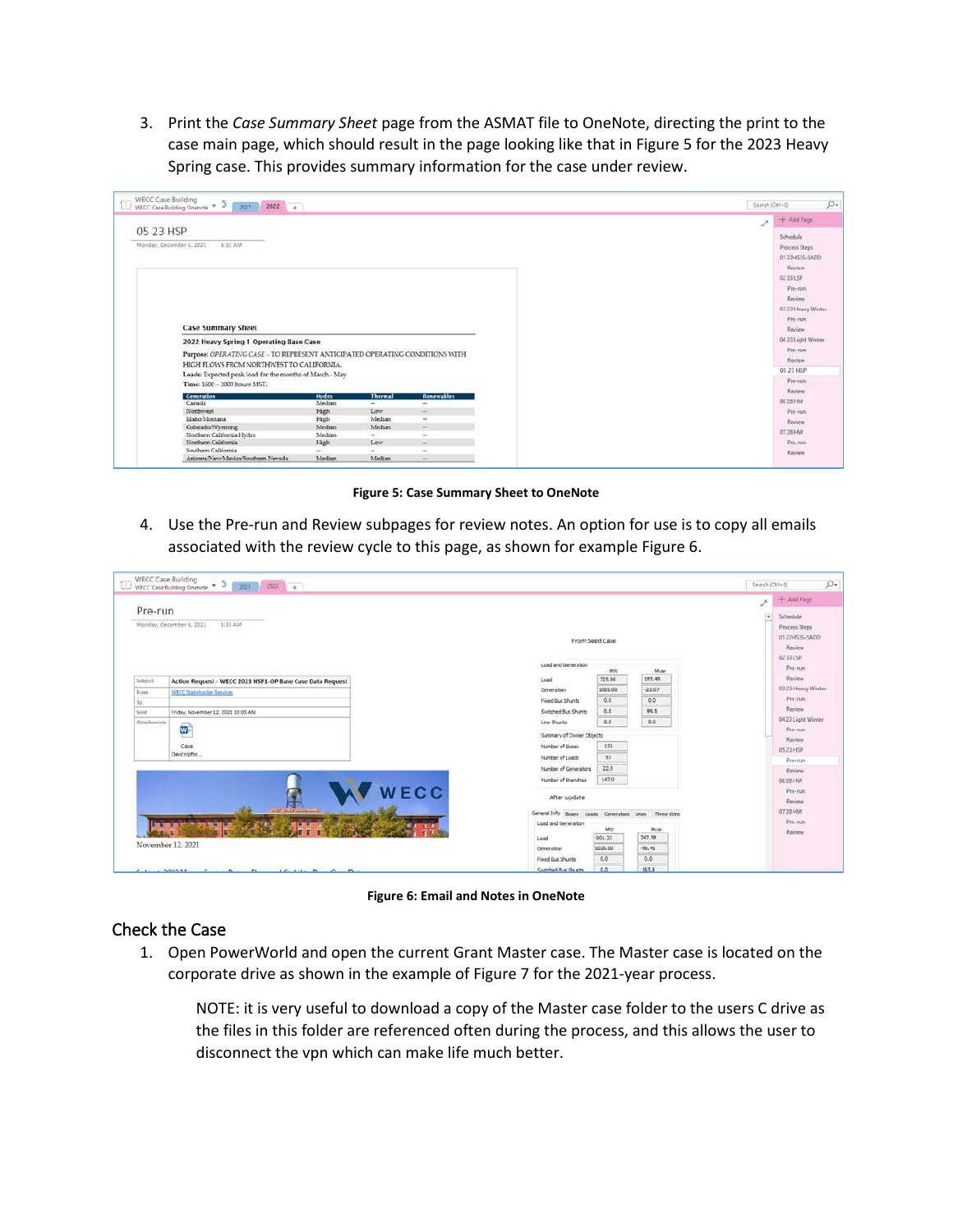3. Print the *Case Summary Sheet* page from the ASMAT file to OneNote, directing the print to the case main page, which should result in the page looking like that in [Figure 5](#page-7-1) for the 2023 Heavy Spring case. This provides summary information for the case under review.

|                                     | $\Box$ WECC Case Building<br>WECC Case Building Onenote $\ast$ 5 2021 2022 + |                |                  |                          |  | Search (Ctrl+E) |                            |
|-------------------------------------|------------------------------------------------------------------------------|----------------|------------------|--------------------------|--|-----------------|----------------------------|
|                                     |                                                                              |                |                  |                          |  | $\mathcal{P}$   | $+$ Add Page.              |
| 05 23 HSP                           |                                                                              |                |                  |                          |  |                 | Schedule                   |
| Monday, December 6, 2021<br>8:32 AM |                                                                              |                |                  |                          |  |                 | Process Steps              |
|                                     |                                                                              |                |                  |                          |  |                 | 0122HS35-SADD              |
|                                     |                                                                              |                |                  |                          |  |                 |                            |
|                                     |                                                                              |                |                  |                          |  |                 | Review                     |
|                                     |                                                                              |                |                  |                          |  |                 | 02 33 LSP                  |
|                                     |                                                                              |                |                  |                          |  |                 | Pre-tun                    |
|                                     |                                                                              |                |                  |                          |  |                 | Review                     |
|                                     |                                                                              |                |                  |                          |  |                 | 03 23 Heavy Winter         |
|                                     |                                                                              |                |                  |                          |  |                 | Pre-run                    |
|                                     | <b>Case Summary Sheet</b>                                                    |                |                  |                          |  |                 | Review                     |
|                                     |                                                                              |                |                  |                          |  |                 |                            |
|                                     | 2022 Heavy Spring 1 Operating Base Case                                      |                |                  |                          |  |                 | 04 23 Light Winter         |
|                                     | Purpose: OPERATING CASE - TO REPRESENT ANTICIPATED OPERATING CONDITIONS WITH |                |                  |                          |  |                 | Pre-run                    |
|                                     | HIGH FLOWS FROM NORTHWEST TO CALIFORNIA.                                     |                |                  |                          |  |                 | Review                     |
|                                     |                                                                              |                |                  |                          |  |                 | 05 23 HSP                  |
|                                     | Loads: Expected peak load for the months of March - May                      |                |                  |                          |  |                 | $p_{\text{re}-\text{num}}$ |
|                                     | Time: 1600 - 2000 hours MST.                                                 |                |                  |                          |  |                 | Review                     |
|                                     | Generation                                                                   | Hydro          | <b>Thermal</b>   | <b>Renewables</b>        |  |                 | 06 28 HW                   |
|                                     | Canada                                                                       | Median         | $\mu$            | $\overline{\phantom{a}}$ |  |                 |                            |
|                                     | Northwest                                                                    | High           | Low              | $-1$                     |  |                 | Pre-run                    |
|                                     | Idaho/Montana                                                                | High<br>Median | Median<br>Median | $\sim$                   |  |                 | Review                     |
|                                     | Colorado/Wyoming<br>Northern California Hydro                                | Median.        | $\sim$           | me."<br>$\sim$           |  |                 | 07 28 HW                   |
|                                     | Northern California                                                          | High           | Low              | $\overline{a}$           |  |                 | Pre-min                    |
|                                     | Southern California                                                          | $\sim$         | $\sim$           | $\sim$                   |  |                 |                            |
|                                     |                                                                              |                |                  |                          |  |                 | Review                     |

**Figure 5: Case Summary Sheet to OneNote**

<span id="page-7-1"></span>4. Use the Pre-run and Review subpages for review notes. An option for use is to copy all emails associated with the review cycle to this page, as shown for example [Figure 6.](#page-7-2)

| Pre-run            |                                                           |                                                      |         |           | ë<br>$\overline{a}$ | $+$ Add Page<br>Schedule                               |
|--------------------|-----------------------------------------------------------|------------------------------------------------------|---------|-----------|---------------------|--------------------------------------------------------|
|                    | Monday, December 6, 2021<br>8:33 AM                       | From Seed Case                                       |         |           |                     | Process Steps<br>01 22HS35-SADD<br>Review<br>02.33 LSP |
|                    |                                                           | Load and Generation                                  | MW      | Myan      |                     | Pre-run                                                |
| Subject            | Action Request - WECC 2023 HSP1-OP Base Case Data Request | Load                                                 | 725.86  | 185.48    |                     | Review                                                 |
| <b>From</b>        | <b>WECC Stakeholder Services</b>                          | Generation                                           | 1085.00 | $-23.07$  |                     | 03.23 Heavy Winter                                     |
| To:                |                                                           | Fixed Bus Shunts                                     | 0.0     | 0.0       |                     | Pre-nin                                                |
| Sent.              | Friday, November 12, 2021 10:05 AM                        | Switched Bus Shunts                                  | 0.0     | 99.5      |                     | Review                                                 |
| <b>Attachments</b> |                                                           | Line Shunts                                          | 0.0     | 0,0       |                     | 04 23 Light Winter                                     |
|                    | w                                                         | Summary of Owner Objects                             |         |           |                     | Pre-run                                                |
|                    | Case                                                      | Number of Buses                                      | 133     |           |                     | Review                                                 |
|                    | Descriptio                                                | Number of Loads                                      | 57      |           |                     | 05 23 HSP                                              |
|                    |                                                           | Number of Generators                                 | 22.0    |           |                     | Pre-run                                                |
|                    |                                                           | Number of Branches                                   | 147.0   |           |                     | Review                                                 |
|                    |                                                           |                                                      |         |           |                     | 06 28 HW                                               |
|                    | WECC                                                      | After update                                         |         |           |                     | Pre-run<br>Review                                      |
|                    | <b>REAL</b>                                               |                                                      |         |           |                     | 07.28 HW                                               |
|                    |                                                           | General Info Buses Loads Generators Lines Three-Wind |         |           |                     | Pre-run                                                |
|                    |                                                           | Load and Generation                                  | MW      | Myan      |                     | Review                                                 |
|                    |                                                           | Load                                                 | 901.23  | 242.58    |                     |                                                        |
| November 12, 2021  |                                                           | Generation                                           | 1026.00 | $-96, 41$ |                     |                                                        |
|                    |                                                           | Fored Bus Shunts                                     | 0.0     | 0.0       |                     |                                                        |
|                    |                                                           | Switched Bus Shunts                                  | 0.0     | 163.8     |                     |                                                        |

**Figure 6: Email and Notes in OneNote**

#### <span id="page-7-2"></span><span id="page-7-0"></span>Check the Case

1. Open PowerWorld and open the current Grant Master case. The Master case is located on the corporate drive as shown in the example of [Figure 7](#page-8-0) for the 2021-year process.

NOTE: it is very useful to download a copy of the Master case folder to the users C drive as the files in this folder are referenced often during the process, and this allows the user to disconnect the vpn which can make life much better.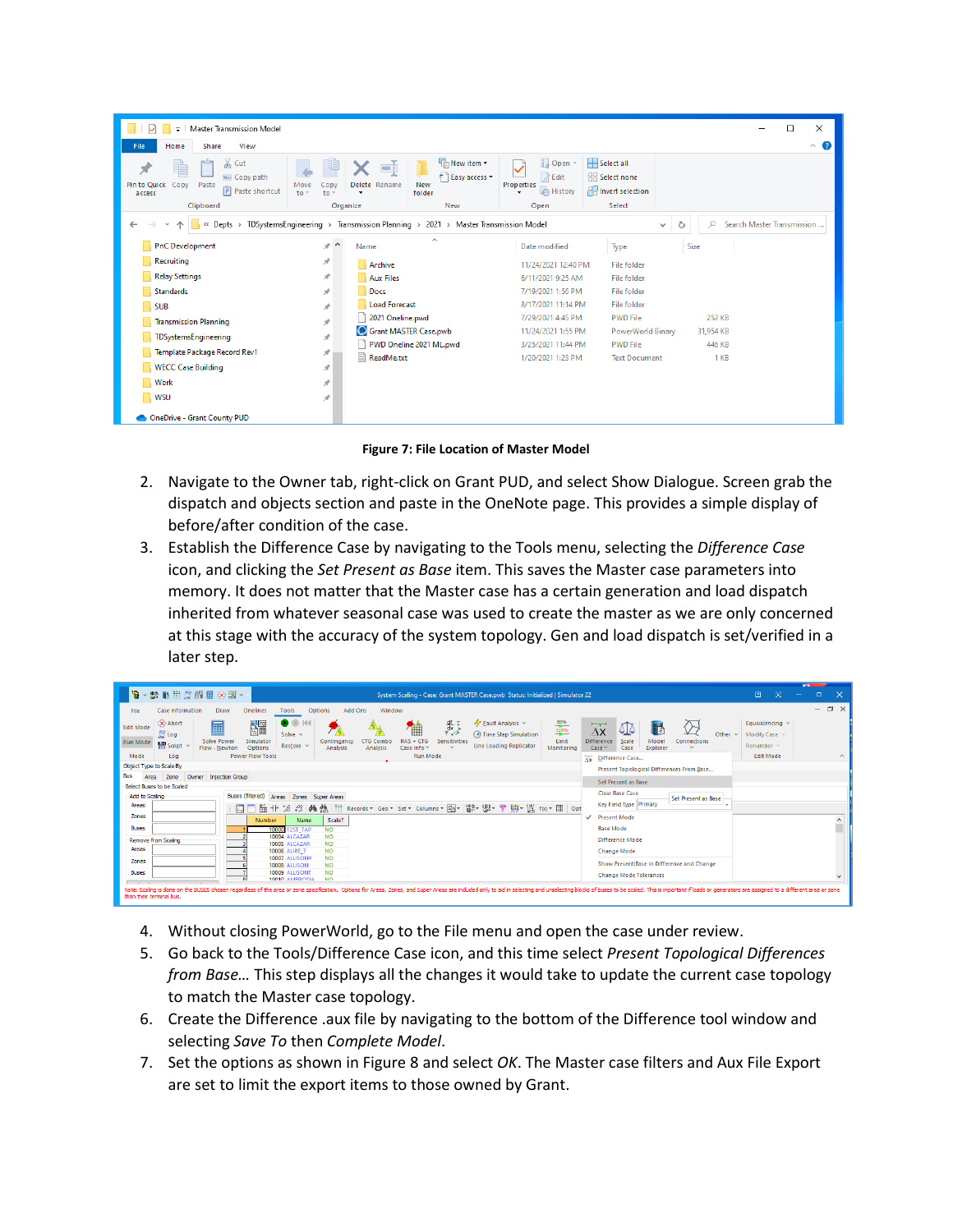| Master Transmission Model<br>$\overline{\mathbf{v}}$                                                                                  |                                                                                               | $\times$<br>п                                                                                                                        |
|---------------------------------------------------------------------------------------------------------------------------------------|-----------------------------------------------------------------------------------------------|--------------------------------------------------------------------------------------------------------------------------------------|
| View<br>File<br>Share<br>Home                                                                                                         |                                                                                               | $\land$ $\bullet$                                                                                                                    |
| & Cut<br>è<br>W <sub>"</sub> Copy path<br><b>Pin to Quick</b><br>Copy<br>Paste<br>Move<br><b>F</b> Paste shortcut<br>$to -$<br>access | Thew item •<br>o h<br>ŧ<br>Easy access *<br>Delete Rename<br>New<br>Copy<br>folder<br>to<br>٠ | <b>D</b> Open<br>Select all<br><b>Z</b> Edit<br>HR Select none<br>Properties<br><b>Ref</b> Invert selection<br><b>B</b> History<br>٠ |
| Clipboard                                                                                                                             | New<br>Organize                                                                               | Select<br>Open                                                                                                                       |
| « Depts »<br>$\leftarrow$                                                                                                             | TDSystemsEngineering > Transmission Planning > 2021 > Master Transmission Model               | Search Master Transmission<br>Ō<br>$\circ$<br>$\checkmark$                                                                           |
| <b>PnC</b> Development                                                                                                                | $\wedge$<br>$+$ ^<br>Name                                                                     | Size<br>Type<br>Date modified                                                                                                        |
| Recruiting                                                                                                                            | À<br>Archive                                                                                  | <b>File folder</b><br>11/24/2021 12:40 PM                                                                                            |
| <b>Relay Settings</b>                                                                                                                 | À<br><b>Aux Files</b>                                                                         | <b>File folder</b><br>6/11/2021 9:25 AM                                                                                              |
| <b>Standards</b>                                                                                                                      | Docs<br>À                                                                                     | 7/19/2021 1:56 PM<br><b>File folder</b>                                                                                              |
| <b>SUB</b>                                                                                                                            | Load Forecast<br>$\mathcal{R}$                                                                | <b>File folder</b><br>8/17/2021 11:14 PM                                                                                             |
| <b>Transmission Planning</b>                                                                                                          | 2021 Oneline.pwd<br>À                                                                         | 7/29/2021 4:45 PM<br><b>PWD File</b><br>252 KB                                                                                       |
| TDSystemsEngineering                                                                                                                  | Grant MASTER Case.pwb<br>À                                                                    | 11/24/2021 1:55 PM<br>PowerWorld Binary<br>31,954 KB                                                                                 |
| Template Package Record Rev1                                                                                                          | PWD Oneline 2021 ML.pwd<br>À<br>E                                                             | <b>PWD File</b><br>3/25/2021 11:44 PM<br>446 KB                                                                                      |
| <b>WECC Case Building</b>                                                                                                             | ReadMe.txt<br>À                                                                               | 1 KB<br>1/20/2021 1:23 PM<br><b>Text Document</b>                                                                                    |
| <b>Work</b>                                                                                                                           | $\mathcal{R}$                                                                                 |                                                                                                                                      |
| <b>WSU</b>                                                                                                                            | À                                                                                             |                                                                                                                                      |
| OneDrive - Grant County PUD                                                                                                           |                                                                                               |                                                                                                                                      |

**Figure 7: File Location of Master Model**

- <span id="page-8-0"></span>2. Navigate to the Owner tab, right-click on Grant PUD, and select Show Dialogue. Screen grab the dispatch and objects section and paste in the OneNote page. This provides a simple display of before/after condition of the case.
- 3. Establish the Difference Case by navigating to the Tools menu, selecting the *Difference Case* icon, and clicking the *Set Present as Base* item. This saves the Master case parameters into memory. It does not matter that the Master case has a certain generation and load dispatch inherited from whatever seasonal case was used to create the master as we are only concerned at this stage with the accuracy of the system topology. Gen and load dispatch is set/verified in a later step.

| 19 · 野暑共居器皿⊗器 · 1                                                                                                                                                                                                                                         | System Scaling - Case: Grant MASTER Case.pwb Status: Initialized   Simulator 22                                                                                                                                                                                                                                                                                                                                                                                                                                                                                                      | <b>STEP</b><br>D.<br>团<br>$\Box$<br>$\times$                                        |  |  |  |
|-----------------------------------------------------------------------------------------------------------------------------------------------------------------------------------------------------------------------------------------------------------|--------------------------------------------------------------------------------------------------------------------------------------------------------------------------------------------------------------------------------------------------------------------------------------------------------------------------------------------------------------------------------------------------------------------------------------------------------------------------------------------------------------------------------------------------------------------------------------|-------------------------------------------------------------------------------------|--|--|--|
| Case Information<br>File                                                                                                                                                                                                                                  | Add Ons<br>Window<br>Onelines<br>Draw<br>Tools<br><b>Options</b>                                                                                                                                                                                                                                                                                                                                                                                                                                                                                                                     | $\Box$<br>$\times$<br>$\overline{\phantom{0}}$                                      |  |  |  |
| $(x)$ Abort<br>⊞<br><b>Edit Mode</b><br><b>国</b> Log<br><b>Solve Power</b><br>Run Mode<br>Script<br>Flow - Newton<br>Mode<br>Log                                                                                                                          | 闘<br>$\frac{d}{dx}$<br>Fault Analysis v<br>$\frac{85\%}{110\%}$<br>o<br>$\overline{\phantom{a}}$<br>T<br>∆ٍ∆<br>$\Delta x$<br>Solve $\sim$<br><b>3</b> Time Step Simulation<br>Other $\sim$<br><b>CTG Combo</b><br>$RAS + CTG$<br>Simulator<br>Limit<br><b>Difference</b><br>Contingency<br>Sensitivities<br>Model<br>Connections<br>Scale<br>Restore $\vee$<br>Line Loading Replicator<br><b>Options</b><br>Case Info ~<br>$\sim$<br>Monitoring<br>Case ~<br>Case<br>Explorer<br>Analysis<br>Analysis<br>$\sim$<br><b>Power Flow Tools</b><br><b>Run Mode</b><br>Ax Difference Case | Equivalencing v<br>Modify Case ~<br>Renumber $\vee$<br><b>Edit Mode</b><br>$\wedge$ |  |  |  |
| Object Type to Scale By                                                                                                                                                                                                                                   | Present Topological Differences From Base                                                                                                                                                                                                                                                                                                                                                                                                                                                                                                                                            |                                                                                     |  |  |  |
| Bus<br>Owner Injection Group<br>Zone<br>Area                                                                                                                                                                                                              | Set Present as Base                                                                                                                                                                                                                                                                                                                                                                                                                                                                                                                                                                  |                                                                                     |  |  |  |
| Select Buses to be Scaled                                                                                                                                                                                                                                 |                                                                                                                                                                                                                                                                                                                                                                                                                                                                                                                                                                                      |                                                                                     |  |  |  |
| Add to Scaling                                                                                                                                                                                                                                            | <b>Clear Base Case</b><br><b>Buses (filtered)</b><br>Areas Zones Super Areas<br>Set Present as Base                                                                                                                                                                                                                                                                                                                                                                                                                                                                                  |                                                                                     |  |  |  |
| Areas                                                                                                                                                                                                                                                     | Key Field Type Primary<br>臨井 38 路 叠 量<br>- Records * Geo * Set * Columns * 国* 闘* 鬱* 予勝* 黴 flx) * 囲<br>厚<br>Opt                                                                                                                                                                                                                                                                                                                                                                                                                                                                       |                                                                                     |  |  |  |
| Zones                                                                                                                                                                                                                                                     | <b>Present Mode</b><br>$\checkmark$<br>Number<br>Scale?<br>Name                                                                                                                                                                                                                                                                                                                                                                                                                                                                                                                      |                                                                                     |  |  |  |
| <b>Buses</b>                                                                                                                                                                                                                                              | <b>Base Mode</b><br>10000<br>2ST TAP<br><b>NO</b>                                                                                                                                                                                                                                                                                                                                                                                                                                                                                                                                    |                                                                                     |  |  |  |
| Remove from Scaling                                                                                                                                                                                                                                       | <b>NO</b><br>10004 ALCAZAR<br><b>Difference Mode</b>                                                                                                                                                                                                                                                                                                                                                                                                                                                                                                                                 |                                                                                     |  |  |  |
| Areas                                                                                                                                                                                                                                                     | 10005 ALCAZAR<br><b>NO</b><br><b>10006 ALIRE T</b><br><b>NO</b><br><b>Change Mode</b>                                                                                                                                                                                                                                                                                                                                                                                                                                                                                                |                                                                                     |  |  |  |
| Zones                                                                                                                                                                                                                                                     | <b>10007 ALLISON#</b><br><b>NO</b>                                                                                                                                                                                                                                                                                                                                                                                                                                                                                                                                                   |                                                                                     |  |  |  |
|                                                                                                                                                                                                                                                           | Show Present Base in Difference and Change<br><b>NO</b><br>10008 ALLISON                                                                                                                                                                                                                                                                                                                                                                                                                                                                                                             |                                                                                     |  |  |  |
| <b>Buses</b>                                                                                                                                                                                                                                              | <b>NO</b><br>10009 ALLISONT<br><b>Change Mode Tolerances</b><br>10010 AMRROSIA<br><b>NO</b>                                                                                                                                                                                                                                                                                                                                                                                                                                                                                          |                                                                                     |  |  |  |
| Note: Scaling is done on the BUSES chosen regardless of the area or zone specification. Options for Areas, Zones, and Super Areas are included only to aid in selecting and unselecting blocks of buses to be scaled. This is<br>than their terminal bus. |                                                                                                                                                                                                                                                                                                                                                                                                                                                                                                                                                                                      |                                                                                     |  |  |  |

- 4. Without closing PowerWorld, go to the File menu and open the case under review.
- 5. Go back to the Tools/Difference Case icon, and this time select *Present Topological Differences from Base…* This step displays all the changes it would take to update the current case topology to match the Master case topology.
- 6. Create the Difference .aux file by navigating to the bottom of the Difference tool window and selecting *Save To* then *Complete Model*.
- 7. Set the options as shown in [Figure 8](#page-9-0) and select *OK*. The Master case filters and Aux File Export are set to limit the export items to those owned by Grant.